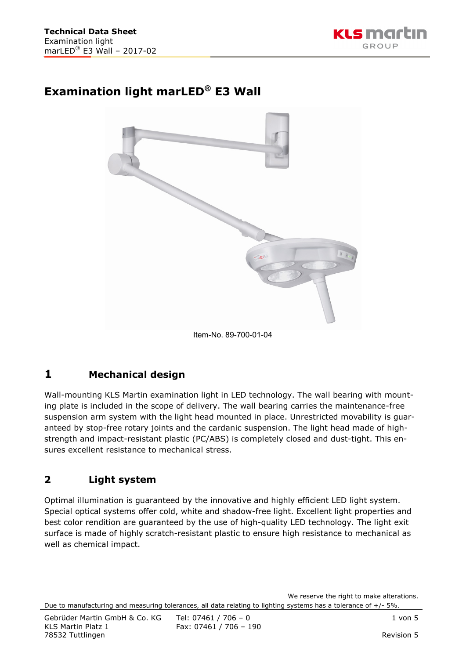

## **Examination light marLED® E3 Wall**



# **1 Mechanical design**

Wall-mounting KLS Martin examination light in LED technology. The wall bearing with mounting plate is included in the scope of delivery. The wall bearing carries the maintenance-free suspension arm system with the light head mounted in place. Unrestricted movability is guaranteed by stop-free rotary joints and the cardanic suspension. The light head made of highstrength and impact-resistant plastic (PC/ABS) is completely closed and dust-tight. This ensures excellent resistance to mechanical stress.

#### **2 Light system**

Optimal illumination is guaranteed by the innovative and highly efficient LED light system. Special optical systems offer cold, white and shadow-free light. Excellent light properties and best color rendition are guaranteed by the use of high-quality LED technology. The light exit surface is made of highly scratch-resistant plastic to ensure high resistance to mechanical as well as chemical impact.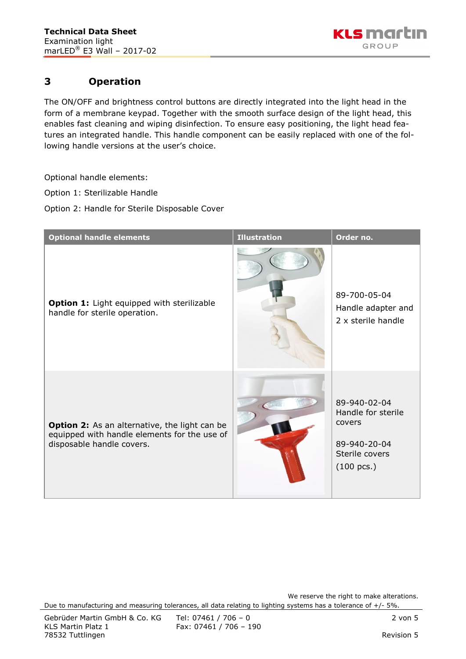

### **3 Operation**

The ON/OFF and brightness control buttons are directly integrated into the light head in the form of a membrane keypad. Together with the smooth surface design of the light head, this enables fast cleaning and wiping disinfection. To ensure easy positioning, the light head features an integrated handle. This handle component can be easily replaced with one of the following handle versions at the user's choice.

Optional handle elements:

Option 1: Sterilizable Handle

Option 2: Handle for Sterile Disposable Cover

| <b>Optional handle elements</b>                                                                                            | <b>Illustration</b> | Order no.                                                                                              |
|----------------------------------------------------------------------------------------------------------------------------|---------------------|--------------------------------------------------------------------------------------------------------|
| Option 1: Light equipped with sterilizable<br>handle for sterile operation.                                                |                     | 89-700-05-04<br>Handle adapter and<br>2 x sterile handle                                               |
| Option 2: As an alternative, the light can be<br>equipped with handle elements for the use of<br>disposable handle covers. |                     | 89-940-02-04<br>Handle for sterile<br>covers<br>89-940-20-04<br>Sterile covers<br>$(100 \text{ pcs.})$ |

We reserve the right to make alterations. Due to manufacturing and measuring tolerances, all data relating to lighting systems has a tolerance of +/- 5%.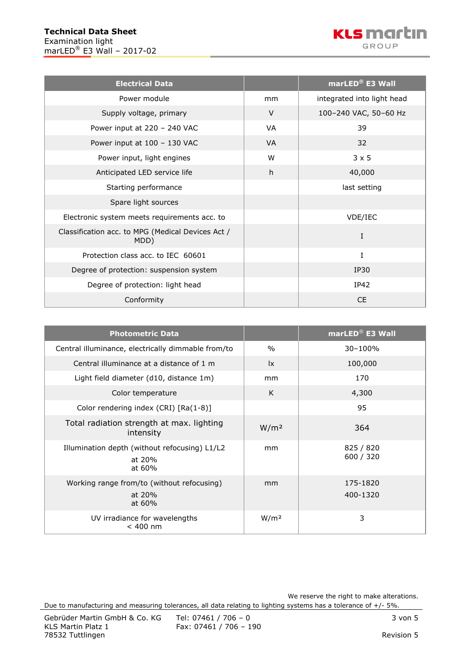

| <b>Electrical Data</b>                                    |           | marLED <sup>®</sup> E3 Wall |
|-----------------------------------------------------------|-----------|-----------------------------|
| Power module                                              | mm        | integrated into light head  |
| Supply voltage, primary                                   | $\vee$    | 100-240 VAC, 50-60 Hz       |
| Power input at 220 - 240 VAC                              | <b>VA</b> | 39                          |
| Power input at 100 - 130 VAC                              | <b>VA</b> | 32                          |
| Power input, light engines                                | W         | $3 \times 5$                |
| Anticipated LED service life                              | h         | 40,000                      |
| Starting performance                                      |           | last setting                |
| Spare light sources                                       |           |                             |
| Electronic system meets requirements acc. to              |           | VDE/IEC                     |
| Classification acc. to MPG (Medical Devices Act /<br>MDD) |           | Ι                           |
| Protection class acc. to IEC 60601                        |           | I                           |
| Degree of protection: suspension system                   |           | IP30                        |
| Degree of protection: light head                          |           | IP42                        |
| Conformity                                                |           | <b>CE</b>                   |

| <b>Photometric Data</b>                                           |                        | marLED <sup>®</sup> E3 Wall |
|-------------------------------------------------------------------|------------------------|-----------------------------|
| Central illuminance, electrically dimmable from/to                | $\frac{0}{0}$          | $30 - 100%$                 |
| Central illuminance at a distance of 1 m                          | $\mathsf{I}\mathsf{x}$ | 100,000                     |
| Light field diameter (d10, distance 1m)                           | mm                     | 170                         |
| Color temperature                                                 | K                      | 4,300                       |
| Color rendering index (CRI) [Ra(1-8)]                             |                        | 95                          |
| Total radiation strength at max. lighting<br>intensity            | W/m <sup>2</sup>       | 364                         |
| Illumination depth (without refocusing) L1/L2<br>at 20%<br>at 60% | mm                     | 825 / 820<br>600 / 320      |
| Working range from/to (without refocusing)<br>at 20%<br>at 60%    | mm                     | 175-1820<br>400-1320        |
| UV irradiance for wavelengths<br>$< 400$ nm                       | W/m <sup>2</sup>       | 3                           |

We reserve the right to make alterations. Due to manufacturing and measuring tolerances, all data relating to lighting systems has a tolerance of +/- 5%.

Fax: 07461 / 706 - 190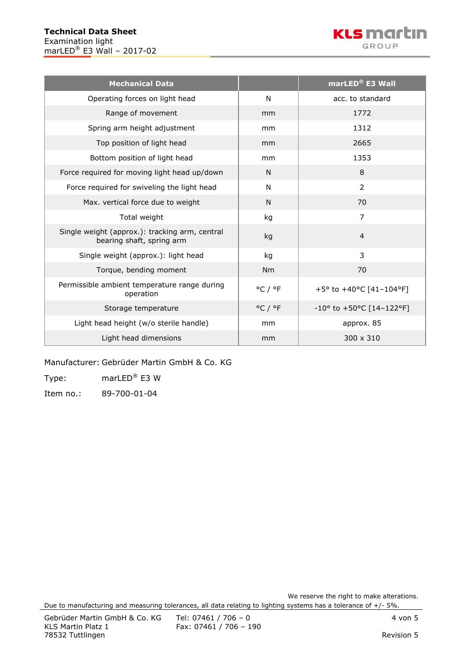

| <b>Mechanical Data</b>                                                      |                             | marLED <sup>®</sup> E3 Wall                 |
|-----------------------------------------------------------------------------|-----------------------------|---------------------------------------------|
| Operating forces on light head                                              | N                           | acc. to standard                            |
| Range of movement                                                           | mm                          | 1772                                        |
| Spring arm height adjustment                                                | mm                          | 1312                                        |
| Top position of light head                                                  | mm                          | 2665                                        |
| Bottom position of light head                                               | mm                          | 1353                                        |
| Force required for moving light head up/down                                | N.                          | 8                                           |
| Force required for swiveling the light head                                 | N                           | $\overline{2}$                              |
| Max. vertical force due to weight                                           | N                           | 70                                          |
| Total weight                                                                | kg                          | $\overline{7}$                              |
| Single weight (approx.): tracking arm, central<br>bearing shaft, spring arm | kg                          | $\overline{4}$                              |
| Single weight (approx.): light head                                         | kg                          | 3                                           |
| Torque, bending moment                                                      | Nm                          | 70                                          |
| Permissible ambient temperature range during<br>operation                   | $^{\circ}$ C / $^{\circ}$ F | +5° to +40°C [41-104°F]                     |
| Storage temperature                                                         | $^{\circ}$ C / $^{\circ}$ F | $-10^{\circ}$ to $+50^{\circ}$ C [14-122°F] |
| Light head height (w/o sterile handle)                                      | mm                          | approx. 85                                  |
| Light head dimensions                                                       | mm                          | $300 \times 310$                            |

Manufacturer: Gebrüder Martin GmbH & Co. KG

Type: marLED® E3 W

Item no.: 89-700-01-04

We reserve the right to make alterations.